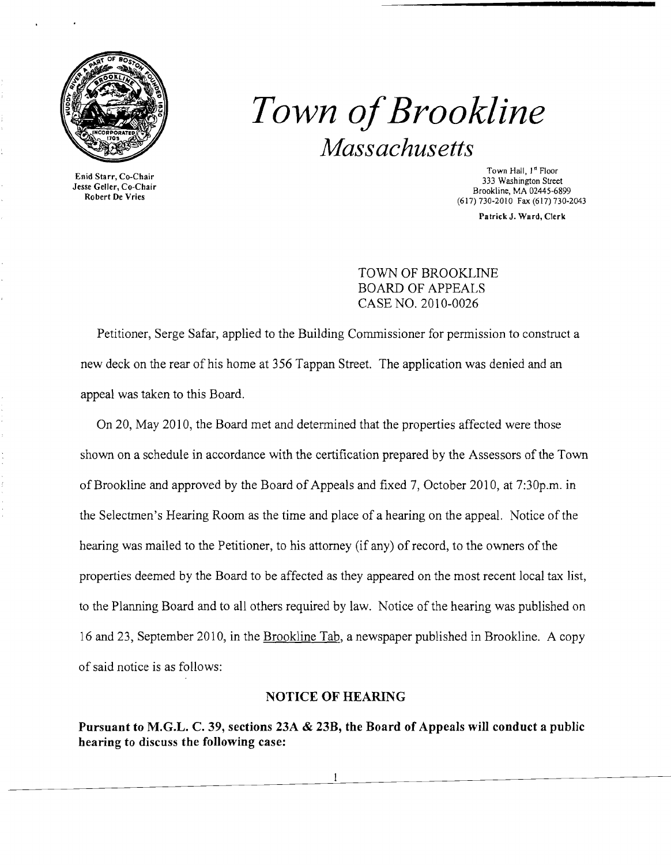

Enid Starr, Co-Chair Jesse Geller, Co-Chair Robert De Vries

## *Town ofBrookline Massachusetts*

Town Hall, 1st Floor 333 Washington Street Brookline, MA 02445-6899 (617) 730-2010 Fax (617) 730-2043

Patrick J. Ward, Clerk

TOWN OF BROOKLINE BOARD OF APPEALS CASE NO. 2010-0026

Petitioner, Serge Safar, applied to the Building Commissioner for permission to construct a new deck on the rear of his home at 356 Tappan Street. The application was denied and an appeal was taken to this Board.

On 20, May 2010, the Board met and determined that the properties affected were those shown on a schedule in accordance with the certification prepared by the Assessors of the Town of Brookline and approved by the Board of Appeals and fixed 7, October 2010, at 7:30p.m. in the Selectmen's Hearing Room as the time and place of a hearing on the appeal. Notice of the hearing was mailed to the Petitioner, to his attorney (if any) of record, to the owners of the properties deemed by the Board to be affected as they appeared on the most recent local tax list, to the Planning Board and to all others required by law. Notice of the hearing was published on 16 and 23, September 2010, in the Brookline Tab, a newspaper published in Brookline. A copy of said notice is as follows:

## NOTICE OF HEARING

Pursuant to M.G.L. C. 39, sections 23A & 23B, the Board of Appeals will conduct a public hearing to discuss the following case: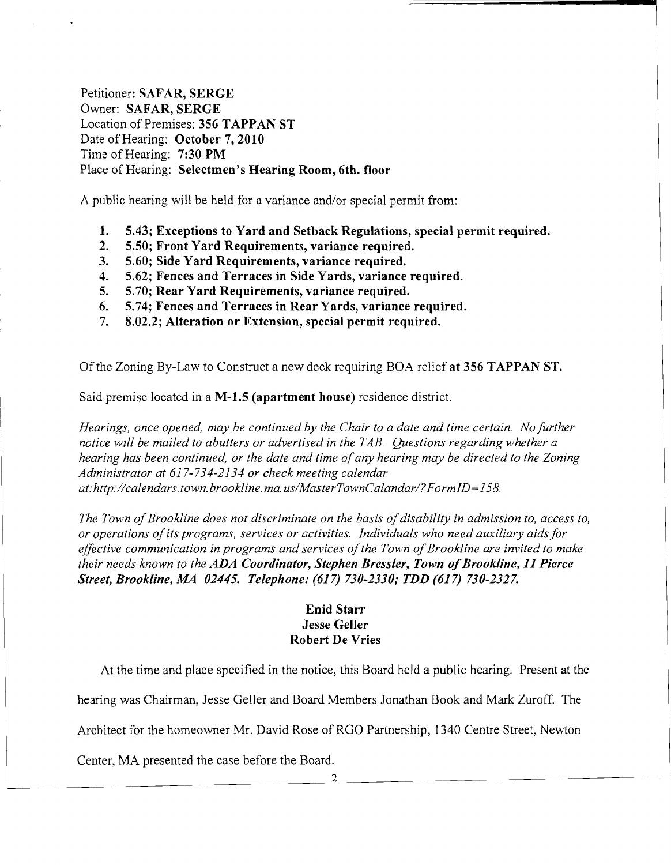Petitioner: **SAFAR, SERGE**  Owner: **SAFAR, SERGE**  Location of Premises: **356 TAPPAN ST**  Date of Hearing: **October 7, 2010**  Time of Hearing: **7:30 PM**  Place of Hearing: **Selectmen's Hearing Room, 6th. floor** 

A public hearing will be held for a variance and/or special permit from:

- **1. 5.43; Exceptions to Yard and Setback Regulations, special permit required.**
- **2. 5.50; Front Yard Requirements, variance required.**
- **3. 5.60; Side Yard Requirements, variance required.**
- **4. 5.62; Fences and Terraces in Side Yards, variance required.**
- **5. 5.70; Rear Yard Requirements, variance required.**
- **6. 5.74; Fences and Terraces in Rear Yards, variance required.**
- **7. 8.02.2; Alteration or Extension, special permit required.**

Ofthe Zoning By-Law to Construct a new deck requiring BOA relief **at 356 TAPPAN ST.** 

Said premise located in a **M-1.5 (apartment house)** residence district.

*Hearings, once opened, may be continued by the Chair to a date and time certain. No further notice will be mailed to abutters or advertised in the TAB. Questions regarding whether a hearing has been continued, or the date and time ofany hearing may be directed to the Zoning Administrator at* 617-734-2134 *or check meeting calendar at:http://calendars.town.brookline.ma.usIMasterTownCalandarl?FormID=158.* 

The Town of Brookline does not discriminate on the basis of disability in admission to, access to, *or operations ofits programs, services or activities. Individuals who need auxiliary aidsfor*  effective communication in programs and services of the Town of Brookline are invited to make *their needs known to the ADA Coordinator, Stephen Bressler, Town ofBrookline,* **11** *Pierce Street, Brookline, A1A 02445. Telephone:* **(617)** *730-2330,. TDD* **(617)** *730-2327.* 

## **Enid Starr Jesse Geller Robert De Vries**

At the time and place specified in the notice, this Board held a public hearing. Present at the

hearing was Chairman, Jesse Geller and Board Members Jonathan Book and Mark Zuroff. The

Architect for the homeowner Mr. David Rose of RGO Partnership, 1340 Centre Street, Newton

Center, MA presented the case before the Board.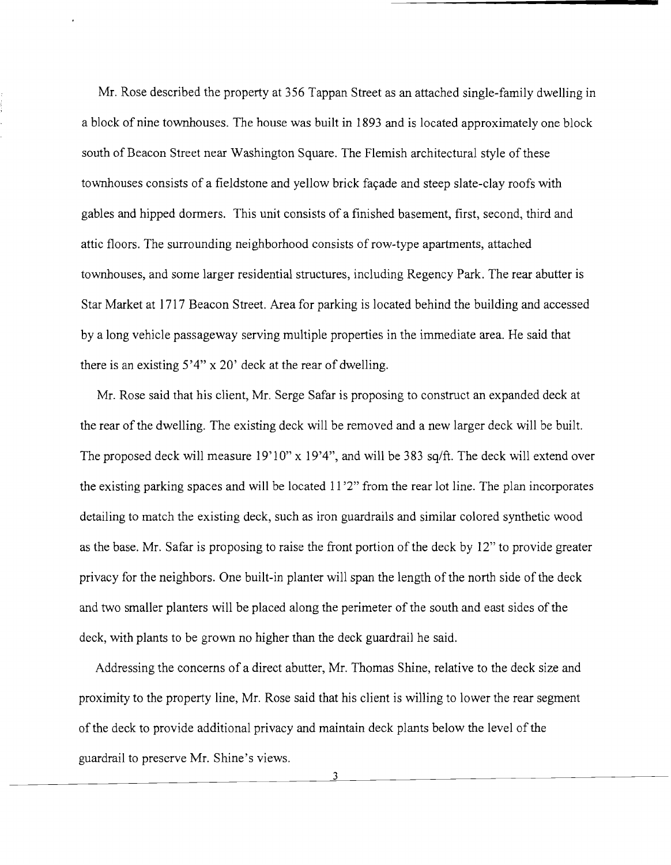Mr. Rose described the property at 356 Tappan Street as an attached single-family dwelling in a block of nine townhouses. The house was built in 1893 and is located approximately one block south of Beacon Street near Washington Square. The Flemish architectural style of these townhouses consists of a fieldstone and yellow brick façade and steep slate-clay roofs with gables and hipped dormers. This unit consists of a finished basement, first, second, third and attic floors. The surrounding neighborhood consists of row-type apartments, attached townhouses, and some larger residential structures, including Regency Park. The rear abutter is Star Market at 1717 Beacon Street. Area for parking is located behind the building and accessed by a long vehicle passageway serving multiple properties in the immediate area. He said that there is an existing  $5'4''$  x 20' deck at the rear of dwelling.

Mr. Rose said that his client, Mr. Serge Safar is proposing to construct an expanded deck at the rear of the dwelling. The existing deck will be removed and a new larger deck will be built. The proposed deck will measure 19'10" x 19'4", and will be 383 sq/ft. The deck will extend over the existing parking spaces and will be located 11 '2" from the rear lot line. The plan incorporates detailing to match the existing deck, such as iron guardrails and similar colored synthetic wood as the base. Mr. Safar is proposing to raise the front portion of the deck by 12" to provide greater privacy for the neighbors. One built-in planter will span the length of the north side of the deck and two smaller planters will be placed along the perimeter of the south and east sides of the deck, with plants to be grown no higher than the deck guardrail he said.

Addressing the concerns of a direct abutter, Mr. Thomas Shine, relative to the deck size and proximity to the property line, Mr. Rose said that his client is willing to lower the rear segment of the deck to provide additional privacy and maintain deck plants below the level of the guardrail to preserve Mr. Shine's views.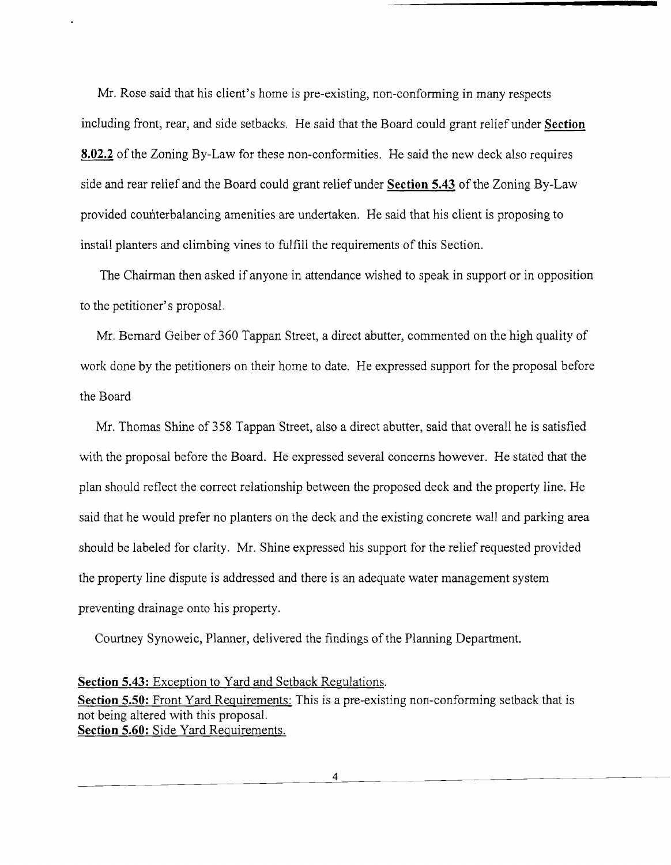Mr. Rose said that his client's home is pre-existing, non-conforming in many respects including front, rear, and side setbacks. He said that the Board could grant relief under **Section 8.02.2** of the Zoning By-Law for these non-conformities. He said the new deck also requires side and rear relief and the Board could grant relief under **Section 5.43** of the Zoning By-Law provided counterbalancing amenities are undertaken. He said that his client is proposing to install planters and climbing vines to fulfill the requirements of this Section.

The Chairman then asked if anyone in attendance wished to speak in support or in opposition to the petitioner's proposal.

Mr. Bernard Gelber of 360 Tappan Street, a direct abutter, commented on the high quality of work done by the petitioners on their home to date. He expressed support for the proposal before the Board

Mr. Thomas Shine of 358 Tappan Street, also a direct abutter, said that overall he is satisfied with the proposal before the Board. He expressed several concerns however. He stated that the plan should reflect the correct relationship between the proposed deck and the property line. He said that he would prefer no planters on the deck and the existing concrete wall and parking area should be labeled for clarity. Mr. Shine expressed his support for the relief requested provided the property line dispute is addressed and there is an adequate water management system preventing drainage onto his property.

Courtney Synoweic, Planner, delivered the findings of the Planning Department.

## **Section 5.43:** Exception to Yard and Setback Regulations. Section 5.50: Front Yard Requirements: This is a pre-existing non-conforming setback that is

not being altered with this proposal. **Section 5.60:** Side Yard Requirements.

4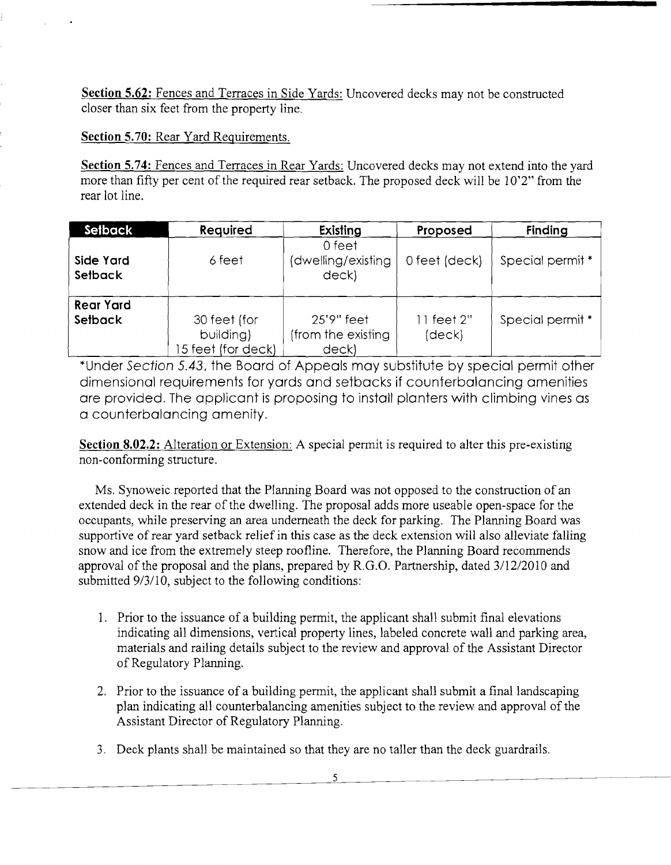**Section 5.62:** Fences and Terraces in Side Yards: Uncovered decks may not be constructed closer than six feet from the property line.

**Section 5.70:** Rear Yard Requirements.

**Section 5.74:** Fences and Terraces **in** Rear Yards: Uncovered decks may not extend into the yard more than fifty per cent of the required rear setback. The proposed deck will be 10'2" from the rear lot line.

| Setback                     | Required                                        | Existing                                 | Proposed             | Finding          |
|-----------------------------|-------------------------------------------------|------------------------------------------|----------------------|------------------|
| Side Yard<br>Setback        | 6 feet                                          | 0 feet<br>(dwelling/existing<br>deck)    | 0 feet (deck)        | Special permit * |
| <b>Rear Yard</b><br>Setback | 30 feet (for<br>building)<br>15 feet (for deck) | 25'9" feet<br>from the existing<br>deck) | 11 feet 2"<br>(deck) | Special permit * |

\*Under Section 5.43, the Board of Appeals may substitute by special permit other dimensional requirements for yards and setbacks if counterbalancing amenities are provided. The applicant is proposing to install planters with climbing vines as a counterbalancing amenity.

**Section 8.02.2:** Alteration or Extension: A special permit is required to alter this pre-existing non-conforming structure.

Ms. Synoweic reported that the Planning Board was not opposed to the construction of an extended deck in the rear of the dwelling. The proposal adds more useable open-space for the occupants, while preserving an area underneath the deck for parking. The Planning Board was supportive of rear yard setback relief in this case as the deck extension will also alleviate falling snow and ice from the extremely steep roofline. Therefore, the Planning Board recommends approval of the proposal and the plans, prepared by R.G.O. Partnership, dated  $3/12/2010$  and submitted  $9/3/10$ , subject to the following conditions:

- 1. Prior to the issuance of a building permit, the applicant shall submit final elevations indicating all dimensions, vertical property lines, labeled concrete wall and parking area, materials and railing details subject to the review and approval of the Assistant Director of Regulatory Planning.
- 2. Prior to the issuance of a building permit, the applicant shall submit a final landscaping plan indicating all counterbalancing amenities subject to the review and approval of the Assistant Director of Regulatory Planning.
- 3. Deck plants shall be maintained so that they are no taller than the deck guardrails.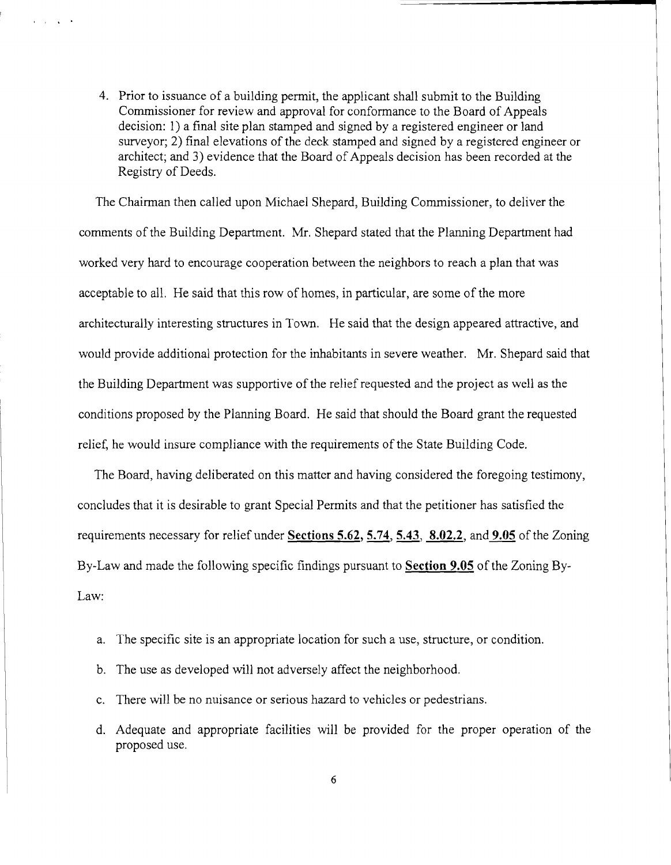4. Prior to issuance of a building permit, the applicant shall submit to the Building Commissioner for review and approval for conformance to the Board of Appeals decision: I) a final site plan stamped and signed by a registered engineer or land surveyor; 2) final elevations of the deck stamped and signed by a registered engineer or architect; and 3) evidence that the Board of Appeals decision has been recorded at the Registry of Deeds.

· .

The Chairman then called upon Michael Shepard, Building Commissioner, to deliver the comments of the Building Department. Mr. Shepard stated that the Planning Department had worked very hard to encourage cooperation between the neighbors to reach a plan that was acceptable to all. He said that this row of homes, in particular, are some of the more architecturally interesting structures in Town. He said that the design appeared attractive, and would provide additional protection for the inhabitants in severe weather. Mr. Shepard said that the Building Department was supportive of the relief requested and the project as well as the conditions proposed by the Planning Board. He said that should the Board grant the requested relief, he would insure compliance with the requirements of the State Building Code.

The Board, having deliberated on this matter and having considered the foregoing testimony, concludes that it is desirable to grant Special Permits and that the petitioner has satisfied the requirements necessary for relief under **Sections 5.62, 5.74, 5.43, 8.02.2,** and **9.05** of the Zoning By-Law and made the following specific findings pursuant to **Section 9.05** of the Zoning By-Law:

- a. The specific site is an appropriate location for such a use, structure, or condition.
- b. The use as developed will not adversely affect the neighborhood.
- c. There will be no nuisance or serious hazard to vehicles or pedestrians.
- d. Adequate and appropriate facilities will be provided for the proper operation of the proposed use.